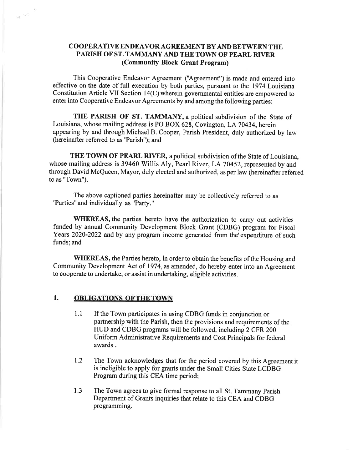## COOPERATIVE ENDEAVOR AGREEMENT BY AND BETWEEN THE PARISH OF ST. TAMMANY AND THE TOWN OF PEARL RIVER (Community Block Grant Program)

This Cooperative Endeavor Agreement ('Agreement") is made and entered into effective onthe date of full execution by both parties, pursuant to the 1974 Louisiana Constitution Article VII Section l4(C) wherein governmental entities are empowered to enter into Cooperative Endeavor Agreements by and among the following parties:

THE PARISH OF ST. TAMMANY, a political subdivision of the State of Louisiana, whose mailing address is PO BOX 628, Covington, LA 70434, herein appearing by and through Michael B. Cooper, Parish President, duly authorized by law (hereinafter referred to as 'Parish'); and

THE TOWN OF PEARL RIVER, a political subdivision of the State of Louisiana, whose mailing address is 39460 Willis Aly, Pearl River, LA 70452, represented by and through David McQueen, Mayor, duly elected and authorized, as per law (hereinafter referred to as "Town").

The above captioned parties hereinafter may be collectively referred to as "Parties" and individually as "Party."

WHEREAS, the parties hereto have the authorization to carry out activities funded by annual Community Development Block Grant (CDBG) program for Fiscal Years 2020-2022 and by any program income generated from the'expenditure of such funds; and

WHEREAS, the Parties hereto, in order to obtain the benefits of the Housing and Community Development Act of 1974, as amended, do hereby enter into an Agreement to cooperate to undertake, or assist in undertaking, eligible activities.

## 1. OBLIGATIONS OF THE TOWN

 $\omega_{\rm f}$   $^{<\omega_{\rm f}}$ 

- 1.1 If the Town participates in using CDBG funds in conjunction or partnership with the Parish, then the provisions and requirements of the HUD and CDBG programs will be followed, including 2 CFR 200 Uniform Administrative Requirements and Cost Principals for federal awards .
- 1.2 The Town acknowledges that for the period covered by this Agreement it is ineligible to apply for grants under the Small Cities State LCDBG Program during this CEA time period;
- The Town agrees to give formal response to all St. Tammany Parish Department of Grants inquiries that relate to this CEA and CDBG programming. 1.3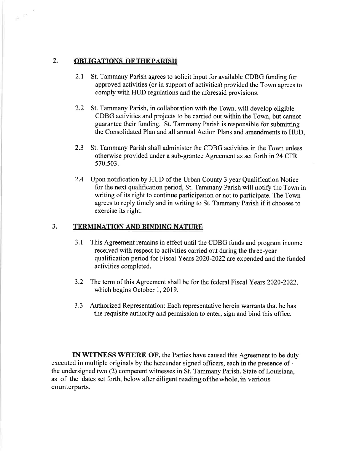## 2. OBLIGATIONS OF THE PARISH

 $\mathcal{L}^\infty$ 

- 2.1 St. Tammany Parish agrees to solicit input for available CDBG funding for approved activities (or in support of activities) provided the Town agrees to comply with HUD regulations and the aforesaid provisions.
- 2.2 St. Tammany Parish, in collaboration with the Town, will develop eligible CDBG activities and projects to be carried out within the Town, but cannot guarantee their funding. St. Tammany Parish is responsible for submitting the Consolidated Plan and all annual Action Plans and amendments to HUD
- 2.3 St. Tammany Parish shall administer the CDBG activities in the Town unless otherwise provided under a sub-grantee Agreement as set forth in 24 CFR 570.503.
- 2.4 Upon notification by HUD of the Urban County 3 year Qualification Notice for the next qualification period, St. Tammany Parish will notify the Town in writing of its right to continue participation or not to participate. The Town agrees to reply timely and in writing to St. Tammany Parish if it chooses to exercise its right.

## 3. TERMINATION AND BINDING NATURE

- 3.1 This Agreement remains in effect until the CDBG funds and program income received with respect to activities carried out during the three-year qualification period for Fiscal Years 2020-2022 are expended and the funded activities completed.
- 3.2 The term of this Agreement shall be for the federal Fiscal Years 2020-2022, which begins October 1, 2019.
- 3.3 Authorized Representation: Each representative herein warrants that he has the requisite authority and permission to enter, sign and bind this office.

IN WITNESS WHERE OF, the Parties have caused this Agreement to be duly executed in multiple originals by the hereunder signed officers, each in the presence of  $\cdot$ the undersigned two (2) competent witnesses in St. Tammany Parish, State of Louisiana, as of the dates set forth, below after diligent reading ofthewhole, in various counterparts.